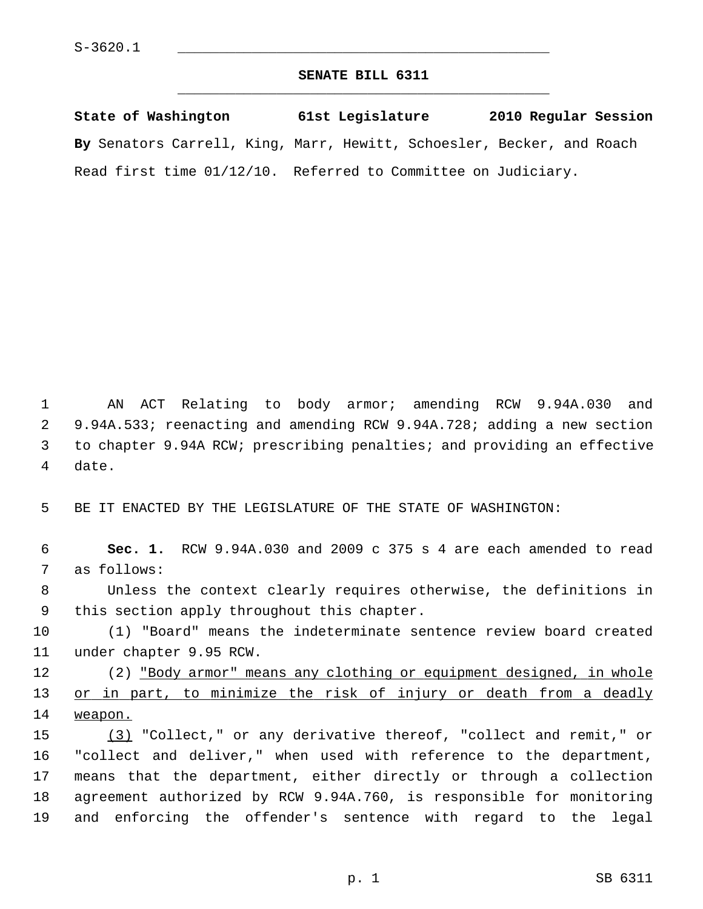## **SENATE BILL 6311** \_\_\_\_\_\_\_\_\_\_\_\_\_\_\_\_\_\_\_\_\_\_\_\_\_\_\_\_\_\_\_\_\_\_\_\_\_\_\_\_\_\_\_\_\_

**State of Washington 61st Legislature 2010 Regular Session By** Senators Carrell, King, Marr, Hewitt, Schoesler, Becker, and Roach Read first time 01/12/10. Referred to Committee on Judiciary.

 1 AN ACT Relating to body armor; amending RCW 9.94A.030 and 2 9.94A.533; reenacting and amending RCW 9.94A.728; adding a new section 3 to chapter 9.94A RCW; prescribing penalties; and providing an effective 4 date.

5 BE IT ENACTED BY THE LEGISLATURE OF THE STATE OF WASHINGTON:

 6 **Sec. 1.** RCW 9.94A.030 and 2009 c 375 s 4 are each amended to read 7 as follows:

 8 Unless the context clearly requires otherwise, the definitions in 9 this section apply throughout this chapter.

10 (1) "Board" means the indeterminate sentence review board created 11 under chapter 9.95 RCW.

12 (2) "Body armor" means any clothing or equipment designed, in whole 13 or in part, to minimize the risk of injury or death from a deadly 14 weapon.

15 (3) "Collect," or any derivative thereof, "collect and remit," or 16 "collect and deliver," when used with reference to the department, 17 means that the department, either directly or through a collection 18 agreement authorized by RCW 9.94A.760, is responsible for monitoring 19 and enforcing the offender's sentence with regard to the legal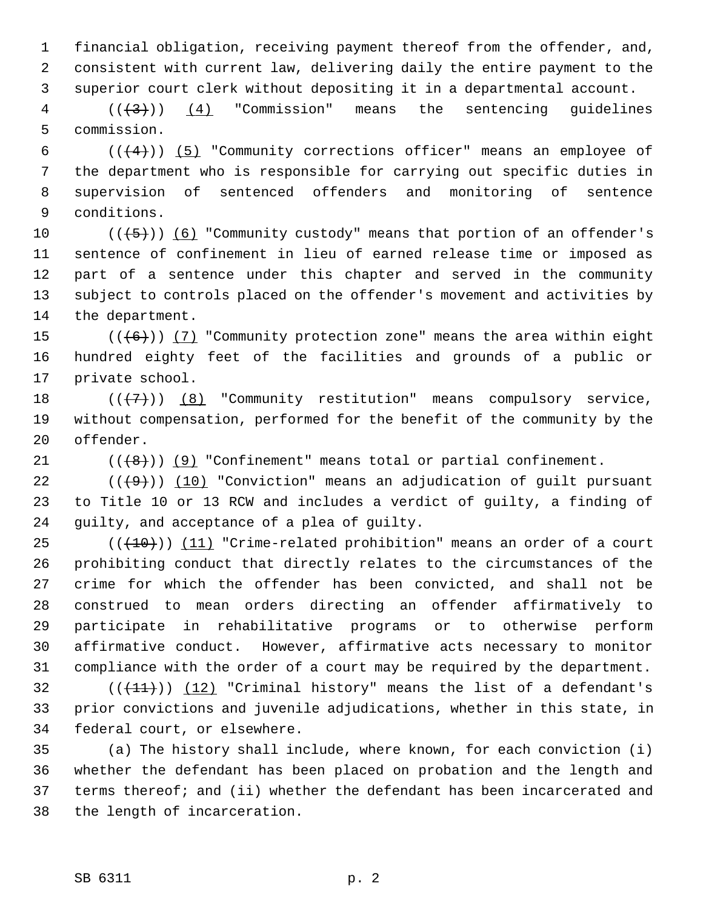1 financial obligation, receiving payment thereof from the offender, and, 2 consistent with current law, delivering daily the entire payment to the 3 superior court clerk without depositing it in a departmental account.

 $4$   $((+3))$   $(4)$  "Commission" means the sentencing guidelines 5 commission.

6  $((+4))$  (5) "Community corrections officer" means an employee of 7 the department who is responsible for carrying out specific duties in 8 supervision of sentenced offenders and monitoring of sentence 9 conditions.

10  $((+5))$  (6) "Community custody" means that portion of an offender's 11 sentence of confinement in lieu of earned release time or imposed as 12 part of a sentence under this chapter and served in the community 13 subject to controls placed on the offender's movement and activities by 14 the department.

15  $((+6))$  (7) "Community protection zone" means the area within eight 16 hundred eighty feet of the facilities and grounds of a public or 17 private school.

18  $((+7)$ ) (8) "Community restitution" means compulsory service, 19 without compensation, performed for the benefit of the community by the 20 offender.

21  $((\lbrace 8 \rbrace))$  (9) "Confinement" means total or partial confinement.

22  $((+9))$   $(10)$  "Conviction" means an adjudication of quilt pursuant 23 to Title 10 or 13 RCW and includes a verdict of guilty, a finding of 24 guilty, and acceptance of a plea of guilty.

 $25$  (( $(10)$ )) (11) "Crime-related prohibition" means an order of a court 26 prohibiting conduct that directly relates to the circumstances of the 27 crime for which the offender has been convicted, and shall not be 28 construed to mean orders directing an offender affirmatively to 29 participate in rehabilitative programs or to otherwise perform 30 affirmative conduct. However, affirmative acts necessary to monitor 31 compliance with the order of a court may be required by the department.

 $32$  (( $(11)$ )) (12) "Criminal history" means the list of a defendant's 33 prior convictions and juvenile adjudications, whether in this state, in 34 federal court, or elsewhere.

35 (a) The history shall include, where known, for each conviction (i) 36 whether the defendant has been placed on probation and the length and 37 terms thereof; and (ii) whether the defendant has been incarcerated and 38 the length of incarceration.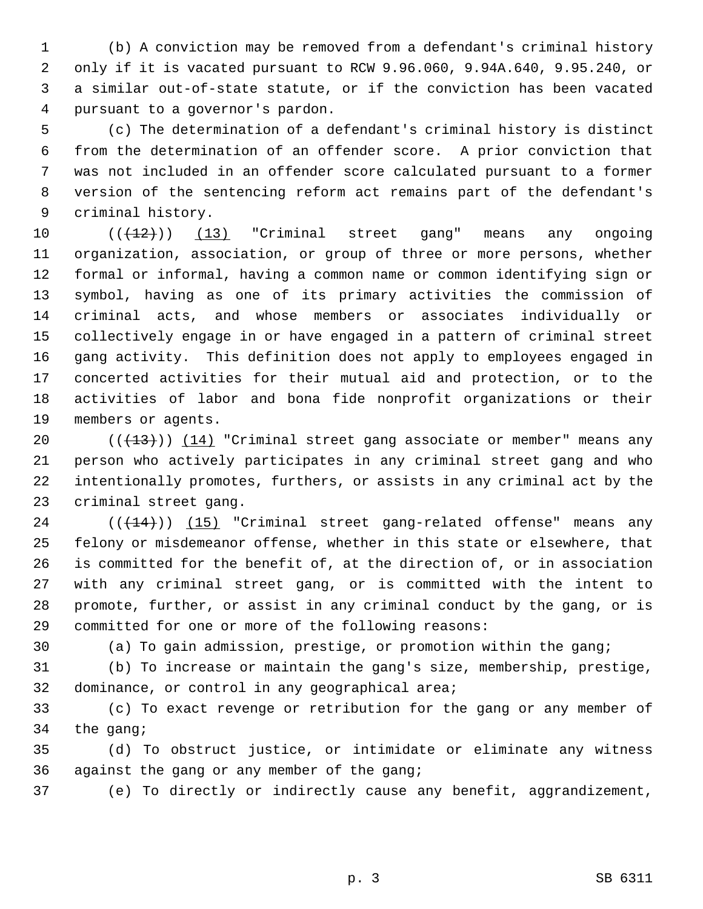1 (b) A conviction may be removed from a defendant's criminal history 2 only if it is vacated pursuant to RCW 9.96.060, 9.94A.640, 9.95.240, or 3 a similar out-of-state statute, or if the conviction has been vacated 4 pursuant to a governor's pardon.

 5 (c) The determination of a defendant's criminal history is distinct 6 from the determination of an offender score. A prior conviction that 7 was not included in an offender score calculated pursuant to a former 8 version of the sentencing reform act remains part of the defendant's 9 criminal history.

10  $((+12))$   $(13)$  "Criminal street gang" means any ongoing 11 organization, association, or group of three or more persons, whether 12 formal or informal, having a common name or common identifying sign or 13 symbol, having as one of its primary activities the commission of 14 criminal acts, and whose members or associates individually or 15 collectively engage in or have engaged in a pattern of criminal street 16 gang activity. This definition does not apply to employees engaged in 17 concerted activities for their mutual aid and protection, or to the 18 activities of labor and bona fide nonprofit organizations or their 19 members or agents.

20  $((+13))$  (14) "Criminal street gang associate or member" means any 21 person who actively participates in any criminal street gang and who 22 intentionally promotes, furthers, or assists in any criminal act by the 23 criminal street gang.

24  $((+14))$  (15) "Criminal street gang-related offense" means any 25 felony or misdemeanor offense, whether in this state or elsewhere, that 26 is committed for the benefit of, at the direction of, or in association 27 with any criminal street gang, or is committed with the intent to 28 promote, further, or assist in any criminal conduct by the gang, or is 29 committed for one or more of the following reasons:

30 (a) To gain admission, prestige, or promotion within the gang;

31 (b) To increase or maintain the gang's size, membership, prestige, 32 dominance, or control in any geographical area;

33 (c) To exact revenge or retribution for the gang or any member of 34 the gang;

35 (d) To obstruct justice, or intimidate or eliminate any witness 36 against the gang or any member of the gang;

37 (e) To directly or indirectly cause any benefit, aggrandizement,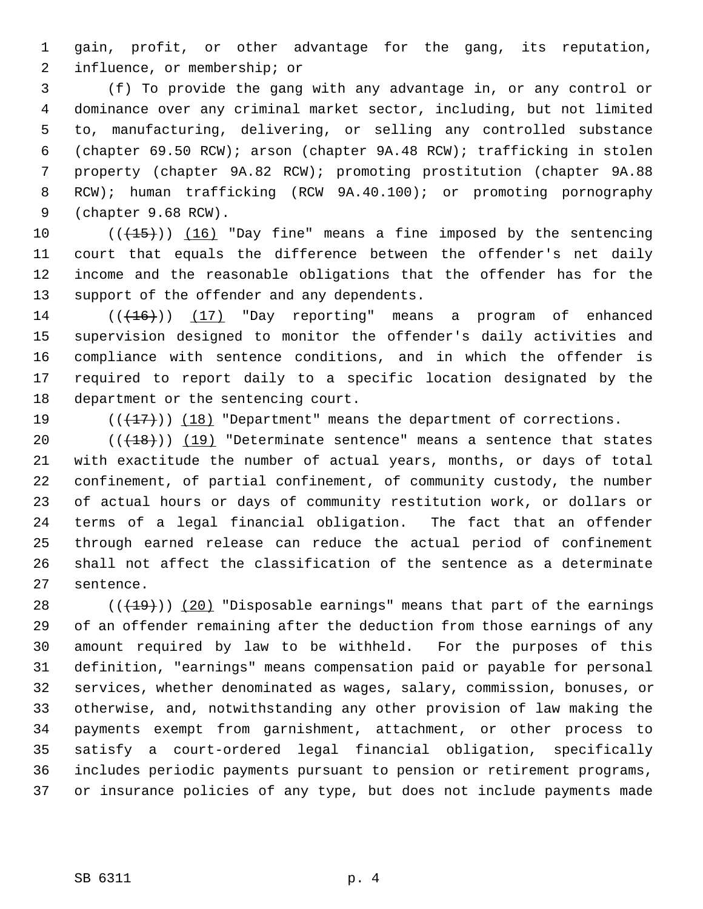1 gain, profit, or other advantage for the gang, its reputation, 2 influence, or membership; or

 3 (f) To provide the gang with any advantage in, or any control or 4 dominance over any criminal market sector, including, but not limited 5 to, manufacturing, delivering, or selling any controlled substance 6 (chapter 69.50 RCW); arson (chapter 9A.48 RCW); trafficking in stolen 7 property (chapter 9A.82 RCW); promoting prostitution (chapter 9A.88 8 RCW); human trafficking (RCW 9A.40.100); or promoting pornography 9 (chapter 9.68 RCW).

10  $((+15))$   $(16)$  "Day fine" means a fine imposed by the sentencing 11 court that equals the difference between the offender's net daily 12 income and the reasonable obligations that the offender has for the 13 support of the offender and any dependents.

 $14$  ( $(\overline{+16})$ ) (17) "Day reporting" means a program of enhanced 15 supervision designed to monitor the offender's daily activities and 16 compliance with sentence conditions, and in which the offender is 17 required to report daily to a specific location designated by the 18 department or the sentencing court.

19  $((+17))$  (18) "Department" means the department of corrections.

20  $((+18))$  (19) "Determinate sentence" means a sentence that states 21 with exactitude the number of actual years, months, or days of total 22 confinement, of partial confinement, of community custody, the number 23 of actual hours or days of community restitution work, or dollars or 24 terms of a legal financial obligation. The fact that an offender 25 through earned release can reduce the actual period of confinement 26 shall not affect the classification of the sentence as a determinate 27 sentence.

28  $((+19))$  (20) "Disposable earnings" means that part of the earnings 29 of an offender remaining after the deduction from those earnings of any 30 amount required by law to be withheld. For the purposes of this 31 definition, "earnings" means compensation paid or payable for personal 32 services, whether denominated as wages, salary, commission, bonuses, or 33 otherwise, and, notwithstanding any other provision of law making the 34 payments exempt from garnishment, attachment, or other process to 35 satisfy a court-ordered legal financial obligation, specifically 36 includes periodic payments pursuant to pension or retirement programs, 37 or insurance policies of any type, but does not include payments made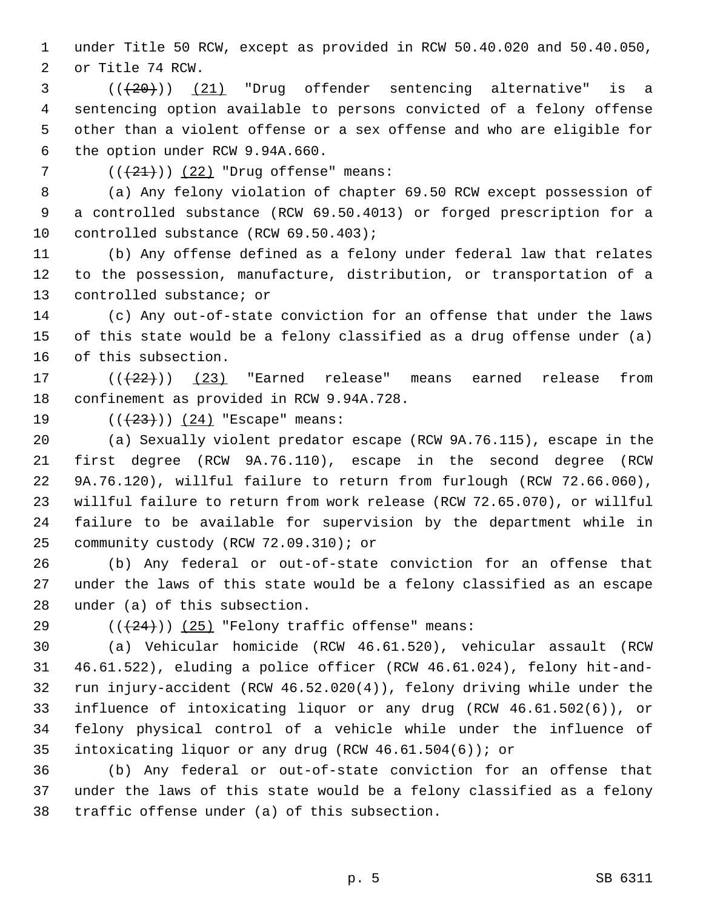1 under Title 50 RCW, except as provided in RCW 50.40.020 and 50.40.050, 2 or Title 74 RCW.

 $($   $($  $($  $($  $($  $20)$  $)$   $($   $($  $21)$  "Drug offender sentencing alternative" is a 4 sentencing option available to persons convicted of a felony offense 5 other than a violent offense or a sex offense and who are eligible for 6 the option under RCW 9.94A.660.

7  $((+21))$   $(22)$  "Drug offense" means:

 8 (a) Any felony violation of chapter 69.50 RCW except possession of 9 a controlled substance (RCW 69.50.4013) or forged prescription for a 10 controlled substance (RCW 69.50.403);

11 (b) Any offense defined as a felony under federal law that relates 12 to the possession, manufacture, distribution, or transportation of a 13 controlled substance; or

14 (c) Any out-of-state conviction for an offense that under the laws 15 of this state would be a felony classified as a drug offense under (a) 16 of this subsection.

17  $((+22))$   $(23)$  "Earned release" means earned release from 18 confinement as provided in RCW 9.94A.728.

19  $((+23))$   $(24)$  "Escape" means:

20 (a) Sexually violent predator escape (RCW 9A.76.115), escape in the 21 first degree (RCW 9A.76.110), escape in the second degree (RCW 22 9A.76.120), willful failure to return from furlough (RCW 72.66.060), 23 willful failure to return from work release (RCW 72.65.070), or willful 24 failure to be available for supervision by the department while in 25 community custody (RCW 72.09.310); or

26 (b) Any federal or out-of-state conviction for an offense that 27 under the laws of this state would be a felony classified as an escape 28 under (a) of this subsection.

29  $((+24))$  (25) "Felony traffic offense" means:

30 (a) Vehicular homicide (RCW 46.61.520), vehicular assault (RCW 31 46.61.522), eluding a police officer (RCW 46.61.024), felony hit-and-32 run injury-accident (RCW 46.52.020(4)), felony driving while under the 33 influence of intoxicating liquor or any drug (RCW 46.61.502(6)), or 34 felony physical control of a vehicle while under the influence of 35 intoxicating liquor or any drug (RCW 46.61.504(6)); or

36 (b) Any federal or out-of-state conviction for an offense that 37 under the laws of this state would be a felony classified as a felony 38 traffic offense under (a) of this subsection.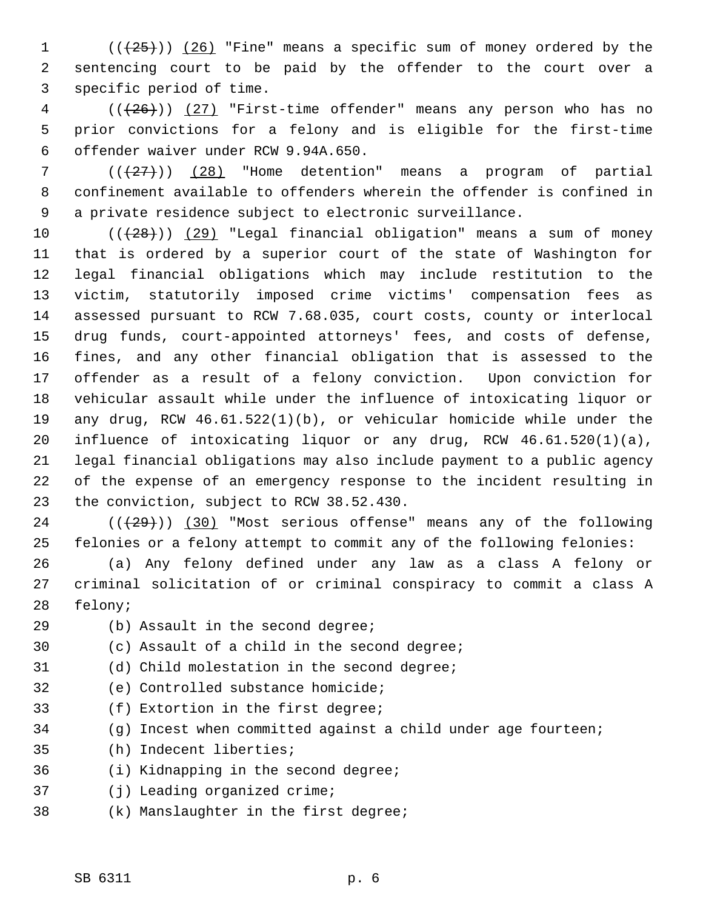1  $((+25))$  (26) "Fine" means a specific sum of money ordered by the 2 sentencing court to be paid by the offender to the court over a 3 specific period of time.

 $4$  ( $(\frac{126}{12})$   $(27)$  "First-time offender" means any person who has no 5 prior convictions for a felony and is eligible for the first-time 6 offender waiver under RCW 9.94A.650.

 $7$  ( $(\frac{27}{1})$ ) (28) "Home detention" means a program of partial 8 confinement available to offenders wherein the offender is confined in 9 a private residence subject to electronic surveillance.

10  $((+28))$   $(29)$  "Legal financial obligation" means a sum of money 11 that is ordered by a superior court of the state of Washington for 12 legal financial obligations which may include restitution to the 13 victim, statutorily imposed crime victims' compensation fees as 14 assessed pursuant to RCW 7.68.035, court costs, county or interlocal 15 drug funds, court-appointed attorneys' fees, and costs of defense, 16 fines, and any other financial obligation that is assessed to the 17 offender as a result of a felony conviction. Upon conviction for 18 vehicular assault while under the influence of intoxicating liquor or 19 any drug, RCW 46.61.522(1)(b), or vehicular homicide while under the 20 influence of intoxicating liquor or any drug, RCW 46.61.520(1)(a), 21 legal financial obligations may also include payment to a public agency 22 of the expense of an emergency response to the incident resulting in 23 the conviction, subject to RCW 38.52.430.

 $24$  ( $(\frac{29}{1})$ ) (30) "Most serious offense" means any of the following 25 felonies or a felony attempt to commit any of the following felonies:

26 (a) Any felony defined under any law as a class A felony or 27 criminal solicitation of or criminal conspiracy to commit a class A 28 felony;

- 29 (b) Assault in the second degree; 30 (c) Assault of a child in the second degree; 31 (d) Child molestation in the second degree; 32 (e) Controlled substance homicide;
	- 33 (f) Extortion in the first degree;
	- 34 (g) Incest when committed against a child under age fourteen;
	- 35 (h) Indecent liberties;
	- 36 (i) Kidnapping in the second degree;
	- 37 (j) Leading organized crime;
	- 38 (k) Manslaughter in the first degree;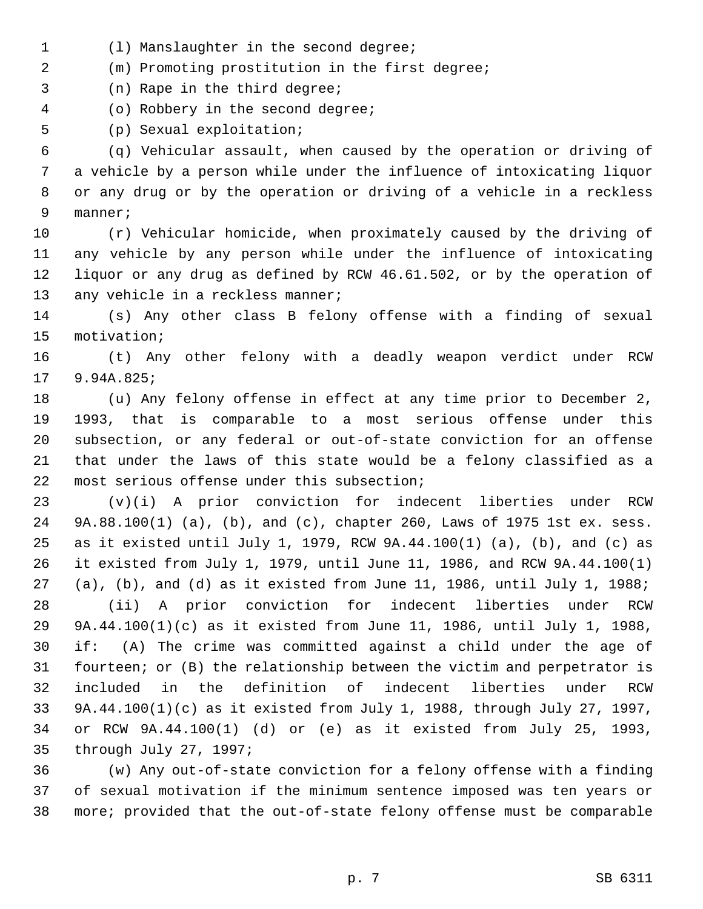- 1 (l) Manslaughter in the second degree;
- 2 (m) Promoting prostitution in the first degree;
- 3 (n) Rape in the third degree;
- 4 (o) Robbery in the second degree;

5 (p) Sexual exploitation;

 6 (q) Vehicular assault, when caused by the operation or driving of 7 a vehicle by a person while under the influence of intoxicating liquor 8 or any drug or by the operation or driving of a vehicle in a reckless 9 manner;

10 (r) Vehicular homicide, when proximately caused by the driving of 11 any vehicle by any person while under the influence of intoxicating 12 liquor or any drug as defined by RCW 46.61.502, or by the operation of 13 any vehicle in a reckless manner;

14 (s) Any other class B felony offense with a finding of sexual 15 motivation;

16 (t) Any other felony with a deadly weapon verdict under RCW 17 9.94A.825;

18 (u) Any felony offense in effect at any time prior to December 2, 19 1993, that is comparable to a most serious offense under this 20 subsection, or any federal or out-of-state conviction for an offense 21 that under the laws of this state would be a felony classified as a 22 most serious offense under this subsection;

23 (v)(i) A prior conviction for indecent liberties under RCW 24 9A.88.100(1) (a), (b), and (c), chapter 260, Laws of 1975 1st ex. sess. 25 as it existed until July 1, 1979, RCW 9A.44.100(1) (a), (b), and (c) as 26 it existed from July 1, 1979, until June 11, 1986, and RCW 9A.44.100(1) 27 (a), (b), and (d) as it existed from June 11, 1986, until July 1, 1988;

28 (ii) A prior conviction for indecent liberties under RCW 29 9A.44.100(1)(c) as it existed from June 11, 1986, until July 1, 1988, 30 if: (A) The crime was committed against a child under the age of 31 fourteen; or (B) the relationship between the victim and perpetrator is 32 included in the definition of indecent liberties under RCW 33 9A.44.100(1)(c) as it existed from July 1, 1988, through July 27, 1997, 34 or RCW 9A.44.100(1) (d) or (e) as it existed from July 25, 1993, 35 through July 27, 1997;

36 (w) Any out-of-state conviction for a felony offense with a finding 37 of sexual motivation if the minimum sentence imposed was ten years or 38 more; provided that the out-of-state felony offense must be comparable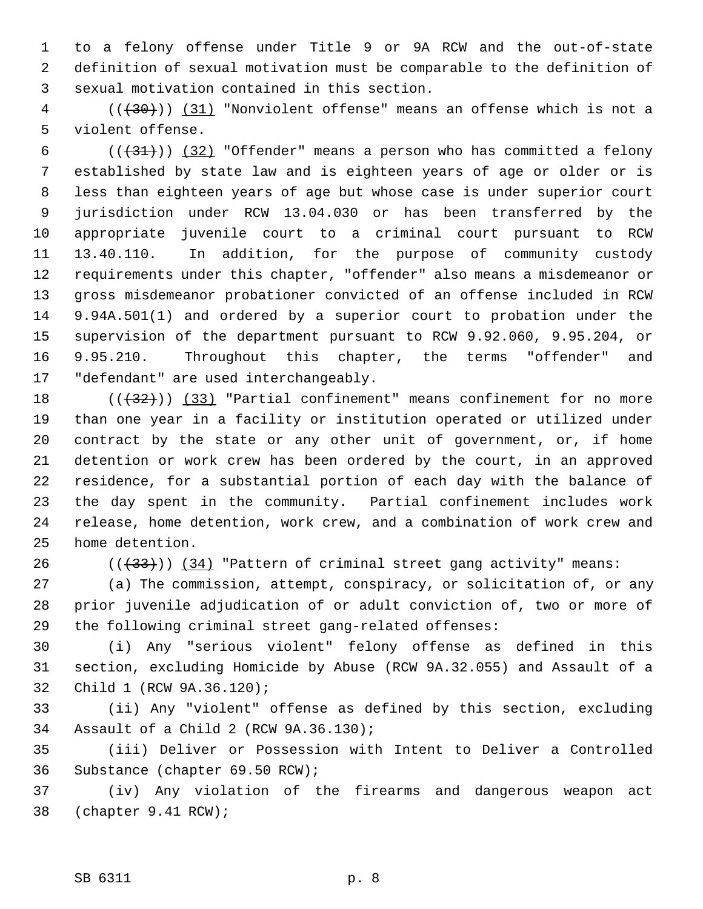1 to a felony offense under Title 9 or 9A RCW and the out-of-state 2 definition of sexual motivation must be comparable to the definition of 3 sexual motivation contained in this section.

 4 (((30))) (31) "Nonviolent offense" means an offense which is not a 5 violent offense.

6  $((+31))$   $(32)$  "Offender" means a person who has committed a felony 7 established by state law and is eighteen years of age or older or is 8 less than eighteen years of age but whose case is under superior court 9 jurisdiction under RCW 13.04.030 or has been transferred by the 10 appropriate juvenile court to a criminal court pursuant to RCW 11 13.40.110. In addition, for the purpose of community custody 12 requirements under this chapter, "offender" also means a misdemeanor or 13 gross misdemeanor probationer convicted of an offense included in RCW 14 9.94A.501(1) and ordered by a superior court to probation under the 15 supervision of the department pursuant to RCW 9.92.060, 9.95.204, or 16 9.95.210. Throughout this chapter, the terms "offender" and 17 "defendant" are used interchangeably.

18  $((+32))$  (33) "Partial confinement" means confinement for no more 19 than one year in a facility or institution operated or utilized under 20 contract by the state or any other unit of government, or, if home 21 detention or work crew has been ordered by the court, in an approved 22 residence, for a substantial portion of each day with the balance of 23 the day spent in the community. Partial confinement includes work 24 release, home detention, work crew, and a combination of work crew and 25 home detention.

26  $((+33))$   $(34)$  "Pattern of criminal street gang activity" means:

27 (a) The commission, attempt, conspiracy, or solicitation of, or any 28 prior juvenile adjudication of or adult conviction of, two or more of 29 the following criminal street gang-related offenses:

30 (i) Any "serious violent" felony offense as defined in this 31 section, excluding Homicide by Abuse (RCW 9A.32.055) and Assault of a 32 Child 1 (RCW 9A.36.120);

33 (ii) Any "violent" offense as defined by this section, excluding 34 Assault of a Child 2 (RCW 9A.36.130);

35 (iii) Deliver or Possession with Intent to Deliver a Controlled 36 Substance (chapter 69.50 RCW);

37 (iv) Any violation of the firearms and dangerous weapon act 38 (chapter 9.41 RCW);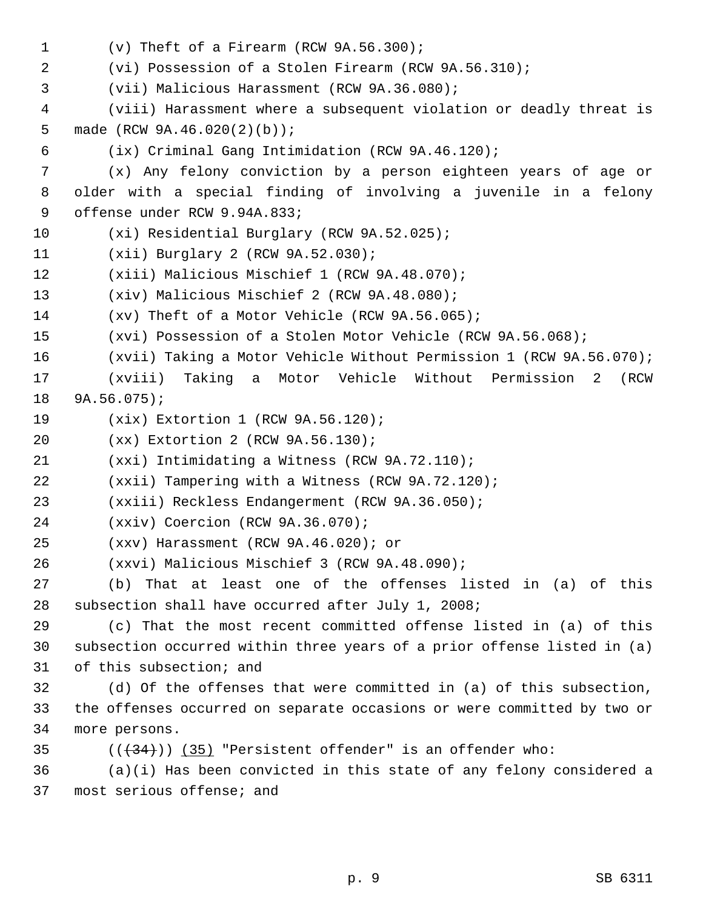```
 1 (v) Theft of a Firearm (RCW 9A.56.300);
 2 (vi) Possession of a Stolen Firearm (RCW 9A.56.310);
 3 (vii) Malicious Harassment (RCW 9A.36.080);
 4 (viii) Harassment where a subsequent violation or deadly threat is
 5 made (RCW 9A.46.020(2)(b));
 6 (ix) Criminal Gang Intimidation (RCW 9A.46.120);
 7 (x) Any felony conviction by a person eighteen years of age or
 8 older with a special finding of involving a juvenile in a felony
 9 offense under RCW 9.94A.833;
10 (xi) Residential Burglary (RCW 9A.52.025);
11 (xii) Burglary 2 (RCW 9A.52.030);
12 (xiii) Malicious Mischief 1 (RCW 9A.48.070);
13 (xiv) Malicious Mischief 2 (RCW 9A.48.080);
14 (xv) Theft of a Motor Vehicle (RCW 9A.56.065);
15 (xvi) Possession of a Stolen Motor Vehicle (RCW 9A.56.068);
16 (xvii) Taking a Motor Vehicle Without Permission 1 (RCW 9A.56.070);
17 (xviii) Taking a Motor Vehicle Without Permission 2 (RCW
18 9A.56.075);
19 (xix) Extortion 1 (RCW 9A.56.120);
20 (xx) Extortion 2 (RCW 9A.56.130);
21 (xxi) Intimidating a Witness (RCW 9A.72.110);
22 (xxii) Tampering with a Witness (RCW 9A.72.120);
23 (xxiii) Reckless Endangerment (RCW 9A.36.050);
24 (xxiv) Coercion (RCW 9A.36.070);
25 (xxv) Harassment (RCW 9A.46.020); or
26 (xxvi) Malicious Mischief 3 (RCW 9A.48.090);
27 (b) That at least one of the offenses listed in (a) of this
28 subsection shall have occurred after July 1, 2008;
29 (c) That the most recent committed offense listed in (a) of this
30 subsection occurred within three years of a prior offense listed in (a)
31 of this subsection; and
32 (d) Of the offenses that were committed in (a) of this subsection,
33 the offenses occurred on separate occasions or were committed by two or
34 more persons.
35 ((34)) (35) "Persistent offender" is an offender who:
36 (a)(i) Has been convicted in this state of any felony considered a
37 most serious offense; and
```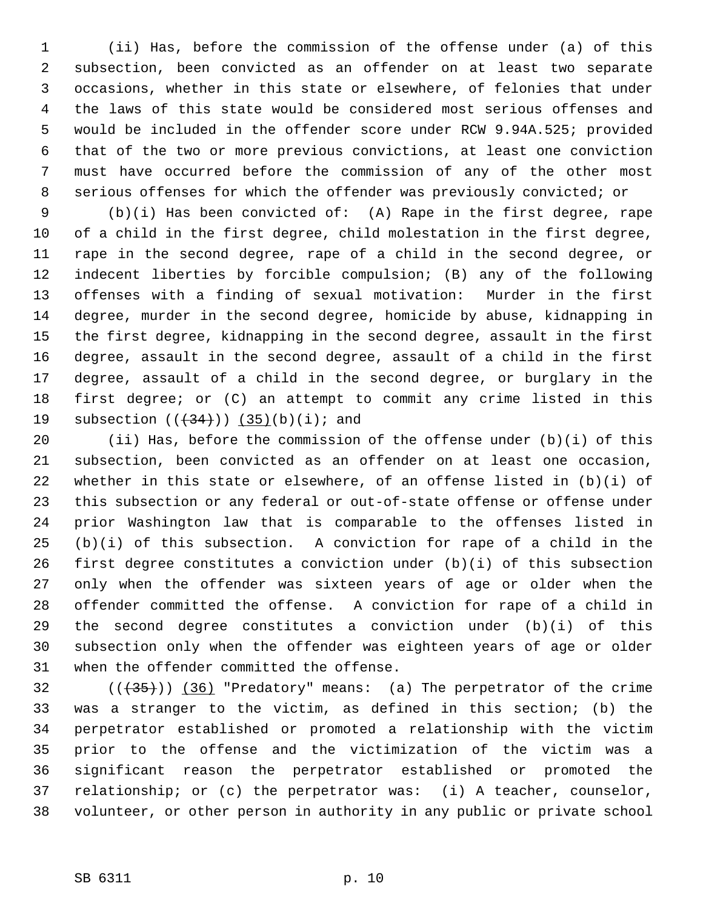1 (ii) Has, before the commission of the offense under (a) of this 2 subsection, been convicted as an offender on at least two separate 3 occasions, whether in this state or elsewhere, of felonies that under 4 the laws of this state would be considered most serious offenses and 5 would be included in the offender score under RCW 9.94A.525; provided 6 that of the two or more previous convictions, at least one conviction 7 must have occurred before the commission of any of the other most 8 serious offenses for which the offender was previously convicted; or

 9 (b)(i) Has been convicted of: (A) Rape in the first degree, rape 10 of a child in the first degree, child molestation in the first degree, 11 rape in the second degree, rape of a child in the second degree, or 12 indecent liberties by forcible compulsion; (B) any of the following 13 offenses with a finding of sexual motivation: Murder in the first 14 degree, murder in the second degree, homicide by abuse, kidnapping in 15 the first degree, kidnapping in the second degree, assault in the first 16 degree, assault in the second degree, assault of a child in the first 17 degree, assault of a child in the second degree, or burglary in the 18 first degree; or (C) an attempt to commit any crime listed in this 19 subsection  $((+34))$   $(35)(b)(i)$ ; and

20 (ii) Has, before the commission of the offense under (b)(i) of this 21 subsection, been convicted as an offender on at least one occasion, 22 whether in this state or elsewhere, of an offense listed in (b)(i) of 23 this subsection or any federal or out-of-state offense or offense under 24 prior Washington law that is comparable to the offenses listed in  $25$  (b)(i) of this subsection. A conviction for rape of a child in the 26 first degree constitutes a conviction under (b)(i) of this subsection 27 only when the offender was sixteen years of age or older when the 28 offender committed the offense. A conviction for rape of a child in 29 the second degree constitutes a conviction under (b)(i) of this 30 subsection only when the offender was eighteen years of age or older 31 when the offender committed the offense.

32  $((+35))$  (36) "Predatory" means: (a) The perpetrator of the crime 33 was a stranger to the victim, as defined in this section; (b) the 34 perpetrator established or promoted a relationship with the victim 35 prior to the offense and the victimization of the victim was a 36 significant reason the perpetrator established or promoted the 37 relationship; or (c) the perpetrator was: (i) A teacher, counselor, 38 volunteer, or other person in authority in any public or private school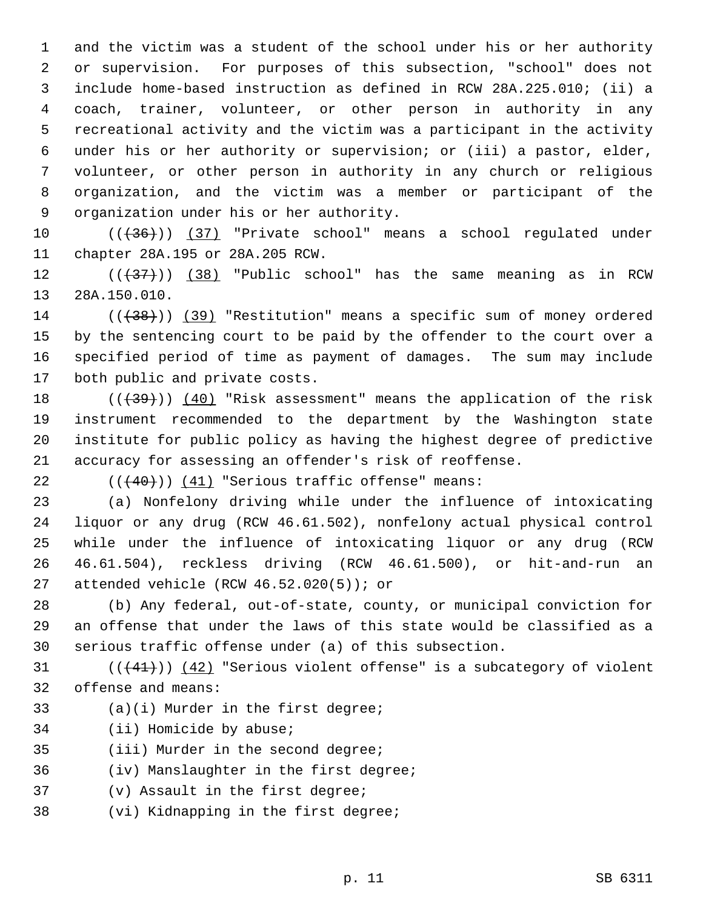1 and the victim was a student of the school under his or her authority 2 or supervision. For purposes of this subsection, "school" does not 3 include home-based instruction as defined in RCW 28A.225.010; (ii) a 4 coach, trainer, volunteer, or other person in authority in any 5 recreational activity and the victim was a participant in the activity 6 under his or her authority or supervision; or (iii) a pastor, elder, 7 volunteer, or other person in authority in any church or religious 8 organization, and the victim was a member or participant of the 9 organization under his or her authority.

10 (((36))) (37) "Private school" means a school regulated under 11 chapter 28A.195 or 28A.205 RCW.

12  $((+37))$   $(38)$  "Public school" has the same meaning as in RCW 13 28A.150.010.

14 (( $(38)$ ) (39) "Restitution" means a specific sum of money ordered 15 by the sentencing court to be paid by the offender to the court over a 16 specified period of time as payment of damages. The sum may include 17 both public and private costs.

18  $((+39))$   $(40)$  "Risk assessment" means the application of the risk 19 instrument recommended to the department by the Washington state 20 institute for public policy as having the highest degree of predictive 21 accuracy for assessing an offender's risk of reoffense.

22  $((40))$  (41) "Serious traffic offense" means:

23 (a) Nonfelony driving while under the influence of intoxicating 24 liquor or any drug (RCW 46.61.502), nonfelony actual physical control 25 while under the influence of intoxicating liquor or any drug (RCW 26 46.61.504), reckless driving (RCW 46.61.500), or hit-and-run an 27 attended vehicle (RCW 46.52.020(5)); or

28 (b) Any federal, out-of-state, county, or municipal conviction for 29 an offense that under the laws of this state would be classified as a 30 serious traffic offense under (a) of this subsection.

 $(1 + 41)$ ) (42) "Serious violent offense" is a subcategory of violent 32 offense and means:

- 33 (a)(i) Murder in the first degree;
- 34 (ii) Homicide by abuse;
- 35 (iii) Murder in the second degree;
- 36 (iv) Manslaughter in the first degree;
- 37 (v) Assault in the first degree;
- 38 (vi) Kidnapping in the first degree;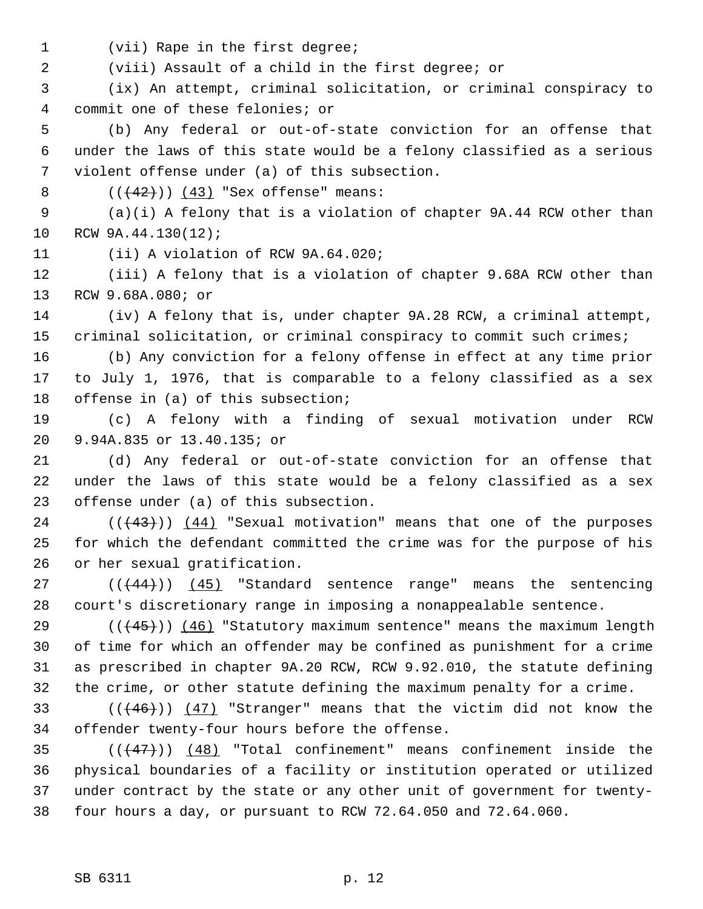1 (vii) Rape in the first degree;

2 (viii) Assault of a child in the first degree; or

 3 (ix) An attempt, criminal solicitation, or criminal conspiracy to 4 commit one of these felonies; or

 5 (b) Any federal or out-of-state conviction for an offense that 6 under the laws of this state would be a felony classified as a serious 7 violent offense under (a) of this subsection.

8  $((+42))$   $(43)$  "Sex offense" means:

 9 (a)(i) A felony that is a violation of chapter 9A.44 RCW other than 10 RCW 9A.44.130(12);

11 (ii) A violation of RCW 9A.64.020;

12 (iii) A felony that is a violation of chapter 9.68A RCW other than 13 RCW 9.68A.080; or

14 (iv) A felony that is, under chapter 9A.28 RCW, a criminal attempt, 15 criminal solicitation, or criminal conspiracy to commit such crimes;

16 (b) Any conviction for a felony offense in effect at any time prior 17 to July 1, 1976, that is comparable to a felony classified as a sex 18 offense in (a) of this subsection;

19 (c) A felony with a finding of sexual motivation under RCW 20 9.94A.835 or 13.40.135; or

21 (d) Any federal or out-of-state conviction for an offense that 22 under the laws of this state would be a felony classified as a sex 23 offense under (a) of this subsection.

24  $((43))$   $(44)$  "Sexual motivation" means that one of the purposes 25 for which the defendant committed the crime was for the purpose of his 26 or her sexual gratification.

27  $((44)$ ) (45) "Standard sentence range" means the sentencing 28 court's discretionary range in imposing a nonappealable sentence.

29  $((445))$  (46) "Statutory maximum sentence" means the maximum length 30 of time for which an offender may be confined as punishment for a crime 31 as prescribed in chapter 9A.20 RCW, RCW 9.92.010, the statute defining 32 the crime, or other statute defining the maximum penalty for a crime.

33  $((46))$   $(47)$  "Stranger" means that the victim did not know the 34 offender twenty-four hours before the offense.

35  $((47)$ ) (48) "Total confinement" means confinement inside the 36 physical boundaries of a facility or institution operated or utilized 37 under contract by the state or any other unit of government for twenty-38 four hours a day, or pursuant to RCW 72.64.050 and 72.64.060.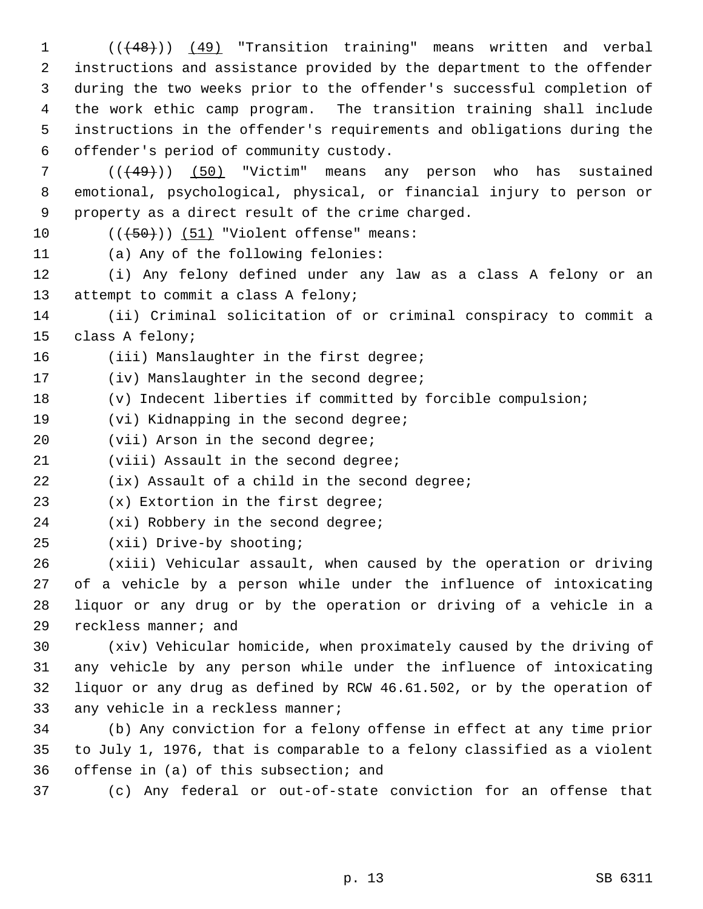1 (( $(48)$ )) (49) "Transition training" means written and verbal 2 instructions and assistance provided by the department to the offender 3 during the two weeks prior to the offender's successful completion of 4 the work ethic camp program. The transition training shall include 5 instructions in the offender's requirements and obligations during the 6 offender's period of community custody.

 7 (((49))) (50) "Victim" means any person who has sustained 8 emotional, psychological, physical, or financial injury to person or 9 property as a direct result of the crime charged.

10  $((+50))$   $(51)$  "Violent offense" means:

11 (a) Any of the following felonies:

12 (i) Any felony defined under any law as a class A felony or an 13 attempt to commit a class A felony;

14 (ii) Criminal solicitation of or criminal conspiracy to commit a 15 class A felony;

16 (iii) Manslaughter in the first degree;

17 (iv) Manslaughter in the second degree;

18 (v) Indecent liberties if committed by forcible compulsion;

19 (vi) Kidnapping in the second degree;

20 (vii) Arson in the second degree;

21 (viii) Assault in the second degree;

22 (ix) Assault of a child in the second degree;

23 (x) Extortion in the first degree;

24 (xi) Robbery in the second degree;

25 (xii) Drive-by shooting;

26 (xiii) Vehicular assault, when caused by the operation or driving 27 of a vehicle by a person while under the influence of intoxicating 28 liquor or any drug or by the operation or driving of a vehicle in a 29 reckless manner; and

30 (xiv) Vehicular homicide, when proximately caused by the driving of 31 any vehicle by any person while under the influence of intoxicating 32 liquor or any drug as defined by RCW 46.61.502, or by the operation of 33 any vehicle in a reckless manner;

34 (b) Any conviction for a felony offense in effect at any time prior 35 to July 1, 1976, that is comparable to a felony classified as a violent 36 offense in (a) of this subsection; and

37 (c) Any federal or out-of-state conviction for an offense that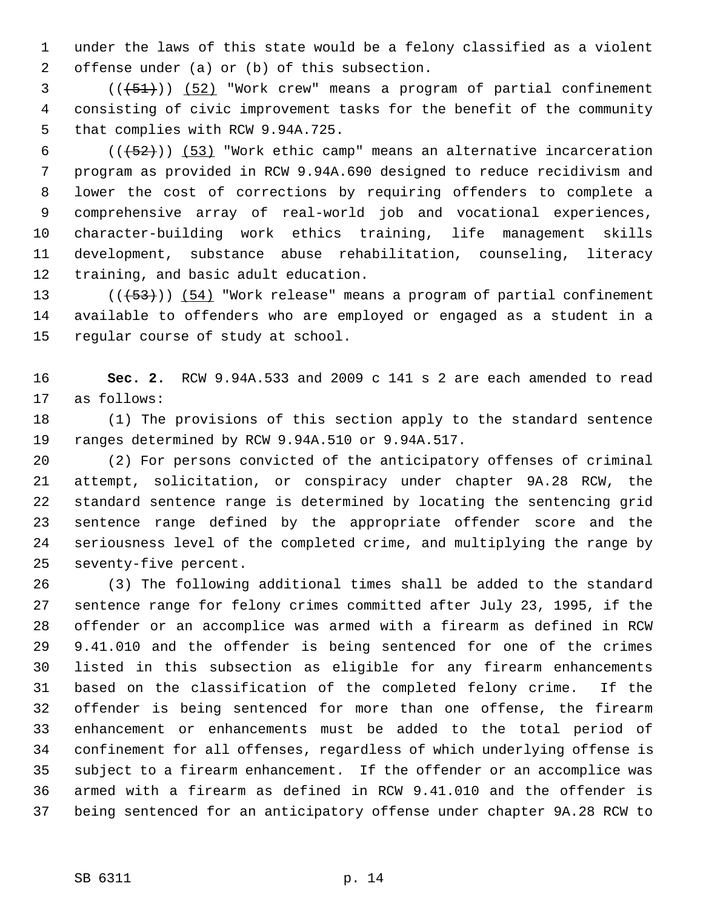1 under the laws of this state would be a felony classified as a violent 2 offense under (a) or (b) of this subsection.

 $(1, 51)$  (( $(51)$ )) (52) "Work crew" means a program of partial confinement 4 consisting of civic improvement tasks for the benefit of the community 5 that complies with RCW 9.94A.725.

6  $((+52))$  (53) "Work ethic camp" means an alternative incarceration 7 program as provided in RCW 9.94A.690 designed to reduce recidivism and 8 lower the cost of corrections by requiring offenders to complete a 9 comprehensive array of real-world job and vocational experiences, 10 character-building work ethics training, life management skills 11 development, substance abuse rehabilitation, counseling, literacy 12 training, and basic adult education.

13  $((+53))$   $(54)$  "Work release" means a program of partial confinement 14 available to offenders who are employed or engaged as a student in a 15 regular course of study at school.

16 **Sec. 2.** RCW 9.94A.533 and 2009 c 141 s 2 are each amended to read 17 as follows:

18 (1) The provisions of this section apply to the standard sentence 19 ranges determined by RCW 9.94A.510 or 9.94A.517.

20 (2) For persons convicted of the anticipatory offenses of criminal 21 attempt, solicitation, or conspiracy under chapter 9A.28 RCW, the 22 standard sentence range is determined by locating the sentencing grid 23 sentence range defined by the appropriate offender score and the 24 seriousness level of the completed crime, and multiplying the range by 25 seventy-five percent.

26 (3) The following additional times shall be added to the standard 27 sentence range for felony crimes committed after July 23, 1995, if the 28 offender or an accomplice was armed with a firearm as defined in RCW 29 9.41.010 and the offender is being sentenced for one of the crimes 30 listed in this subsection as eligible for any firearm enhancements 31 based on the classification of the completed felony crime. If the 32 offender is being sentenced for more than one offense, the firearm 33 enhancement or enhancements must be added to the total period of 34 confinement for all offenses, regardless of which underlying offense is 35 subject to a firearm enhancement. If the offender or an accomplice was 36 armed with a firearm as defined in RCW 9.41.010 and the offender is 37 being sentenced for an anticipatory offense under chapter 9A.28 RCW to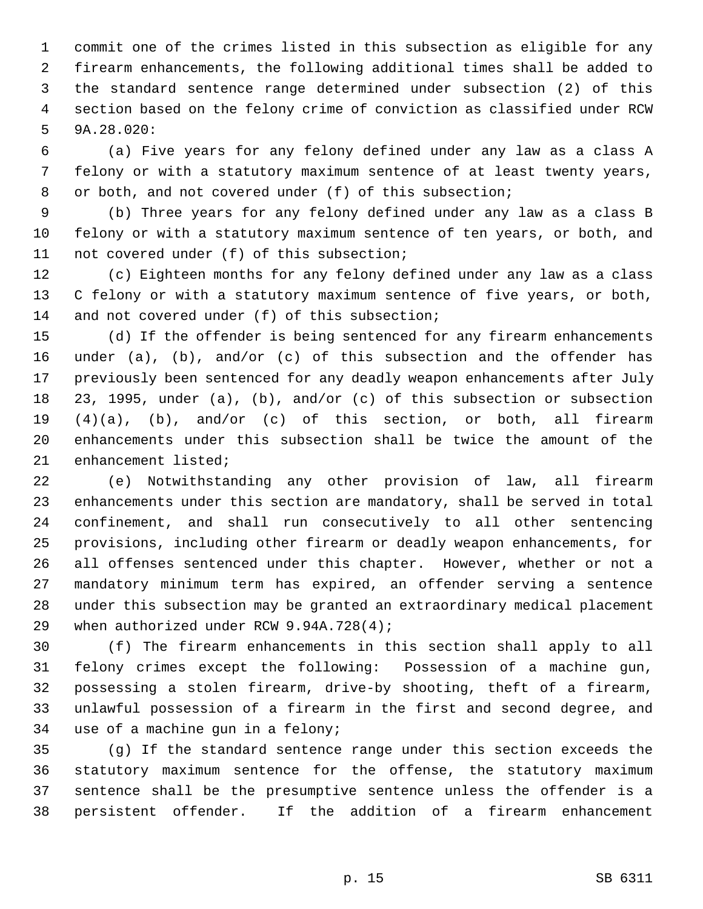1 commit one of the crimes listed in this subsection as eligible for any 2 firearm enhancements, the following additional times shall be added to 3 the standard sentence range determined under subsection (2) of this 4 section based on the felony crime of conviction as classified under RCW 5 9A.28.020:

 6 (a) Five years for any felony defined under any law as a class A 7 felony or with a statutory maximum sentence of at least twenty years, 8 or both, and not covered under (f) of this subsection;

 9 (b) Three years for any felony defined under any law as a class B 10 felony or with a statutory maximum sentence of ten years, or both, and 11 not covered under (f) of this subsection;

12 (c) Eighteen months for any felony defined under any law as a class 13 C felony or with a statutory maximum sentence of five years, or both, 14 and not covered under (f) of this subsection;

15 (d) If the offender is being sentenced for any firearm enhancements 16 under (a), (b), and/or (c) of this subsection and the offender has 17 previously been sentenced for any deadly weapon enhancements after July 18 23, 1995, under (a), (b), and/or (c) of this subsection or subsection 19 (4)(a), (b), and/or (c) of this section, or both, all firearm 20 enhancements under this subsection shall be twice the amount of the 21 enhancement listed;

22 (e) Notwithstanding any other provision of law, all firearm 23 enhancements under this section are mandatory, shall be served in total 24 confinement, and shall run consecutively to all other sentencing 25 provisions, including other firearm or deadly weapon enhancements, for 26 all offenses sentenced under this chapter. However, whether or not a 27 mandatory minimum term has expired, an offender serving a sentence 28 under this subsection may be granted an extraordinary medical placement 29 when authorized under RCW 9.94A.728(4);

30 (f) The firearm enhancements in this section shall apply to all 31 felony crimes except the following: Possession of a machine gun, 32 possessing a stolen firearm, drive-by shooting, theft of a firearm, 33 unlawful possession of a firearm in the first and second degree, and 34 use of a machine gun in a felony;

35 (g) If the standard sentence range under this section exceeds the 36 statutory maximum sentence for the offense, the statutory maximum 37 sentence shall be the presumptive sentence unless the offender is a 38 persistent offender. If the addition of a firearm enhancement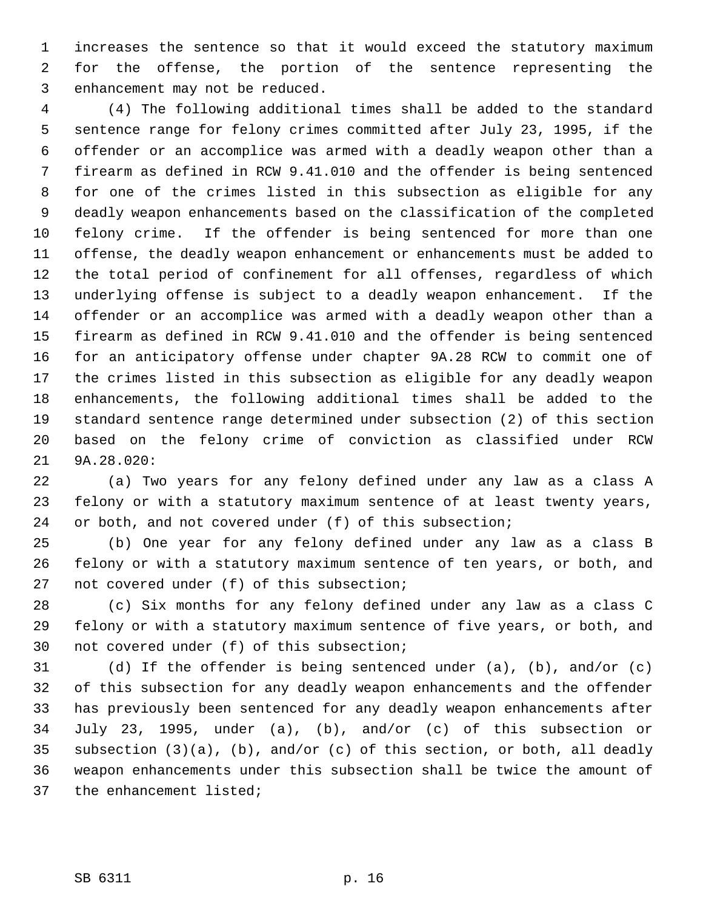1 increases the sentence so that it would exceed the statutory maximum 2 for the offense, the portion of the sentence representing the 3 enhancement may not be reduced.

 4 (4) The following additional times shall be added to the standard 5 sentence range for felony crimes committed after July 23, 1995, if the 6 offender or an accomplice was armed with a deadly weapon other than a 7 firearm as defined in RCW 9.41.010 and the offender is being sentenced 8 for one of the crimes listed in this subsection as eligible for any 9 deadly weapon enhancements based on the classification of the completed 10 felony crime. If the offender is being sentenced for more than one 11 offense, the deadly weapon enhancement or enhancements must be added to 12 the total period of confinement for all offenses, regardless of which 13 underlying offense is subject to a deadly weapon enhancement. If the 14 offender or an accomplice was armed with a deadly weapon other than a 15 firearm as defined in RCW 9.41.010 and the offender is being sentenced 16 for an anticipatory offense under chapter 9A.28 RCW to commit one of 17 the crimes listed in this subsection as eligible for any deadly weapon 18 enhancements, the following additional times shall be added to the 19 standard sentence range determined under subsection (2) of this section 20 based on the felony crime of conviction as classified under RCW 21 9A.28.020:

22 (a) Two years for any felony defined under any law as a class A 23 felony or with a statutory maximum sentence of at least twenty years, 24 or both, and not covered under (f) of this subsection;

25 (b) One year for any felony defined under any law as a class B 26 felony or with a statutory maximum sentence of ten years, or both, and 27 not covered under (f) of this subsection;

28 (c) Six months for any felony defined under any law as a class C 29 felony or with a statutory maximum sentence of five years, or both, and 30 not covered under (f) of this subsection;

31 (d) If the offender is being sentenced under (a), (b), and/or (c) 32 of this subsection for any deadly weapon enhancements and the offender 33 has previously been sentenced for any deadly weapon enhancements after 34 July 23, 1995, under (a), (b), and/or (c) of this subsection or 35 subsection (3)(a), (b), and/or (c) of this section, or both, all deadly 36 weapon enhancements under this subsection shall be twice the amount of 37 the enhancement listed;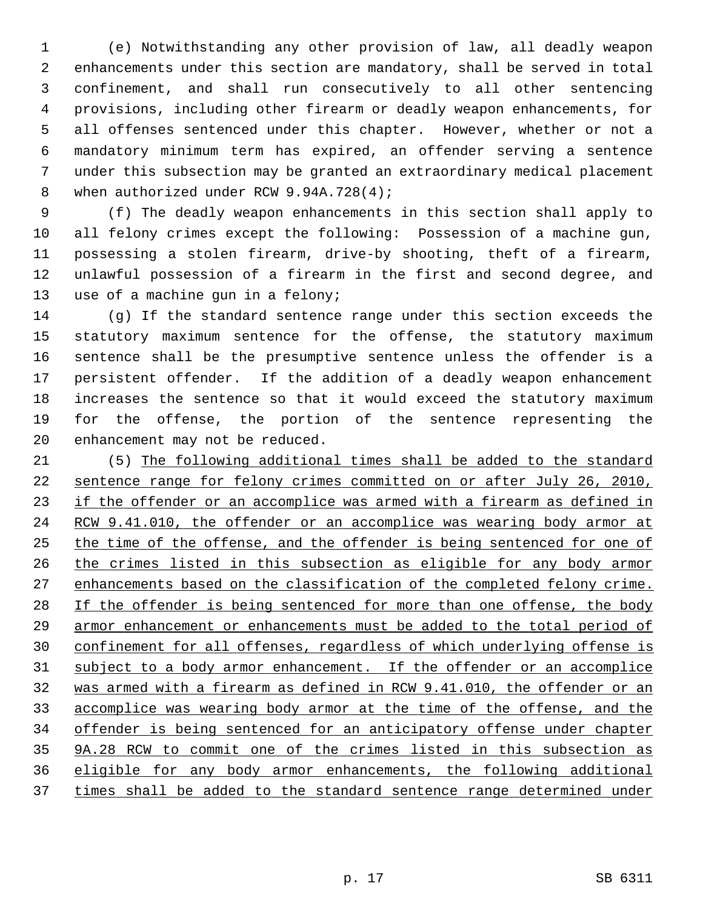1 (e) Notwithstanding any other provision of law, all deadly weapon 2 enhancements under this section are mandatory, shall be served in total 3 confinement, and shall run consecutively to all other sentencing 4 provisions, including other firearm or deadly weapon enhancements, for 5 all offenses sentenced under this chapter. However, whether or not a 6 mandatory minimum term has expired, an offender serving a sentence 7 under this subsection may be granted an extraordinary medical placement 8 when authorized under RCW 9.94A.728(4);

 9 (f) The deadly weapon enhancements in this section shall apply to 10 all felony crimes except the following: Possession of a machine gun, 11 possessing a stolen firearm, drive-by shooting, theft of a firearm, 12 unlawful possession of a firearm in the first and second degree, and 13 use of a machine gun in a felony;

14 (g) If the standard sentence range under this section exceeds the 15 statutory maximum sentence for the offense, the statutory maximum 16 sentence shall be the presumptive sentence unless the offender is a 17 persistent offender. If the addition of a deadly weapon enhancement 18 increases the sentence so that it would exceed the statutory maximum 19 for the offense, the portion of the sentence representing the 20 enhancement may not be reduced.

21 (5) The following additional times shall be added to the standard sentence range for felony crimes committed on or after July 26, 2010, if the offender or an accomplice was armed with a firearm as defined in RCW 9.41.010, the offender or an accomplice was wearing body armor at the time of the offense, and the offender is being sentenced for one of the crimes listed in this subsection as eligible for any body armor enhancements based on the classification of the completed felony crime. If the offender is being sentenced for more than one offense, the body armor enhancement or enhancements must be added to the total period of confinement for all offenses, regardless of which underlying offense is subject to a body armor enhancement. If the offender or an accomplice was armed with a firearm as defined in RCW 9.41.010, the offender or an accomplice was wearing body armor at the time of the offense, and the offender is being sentenced for an anticipatory offense under chapter 9A.28 RCW to commit one of the crimes listed in this subsection as eligible for any body armor enhancements, the following additional times shall be added to the standard sentence range determined under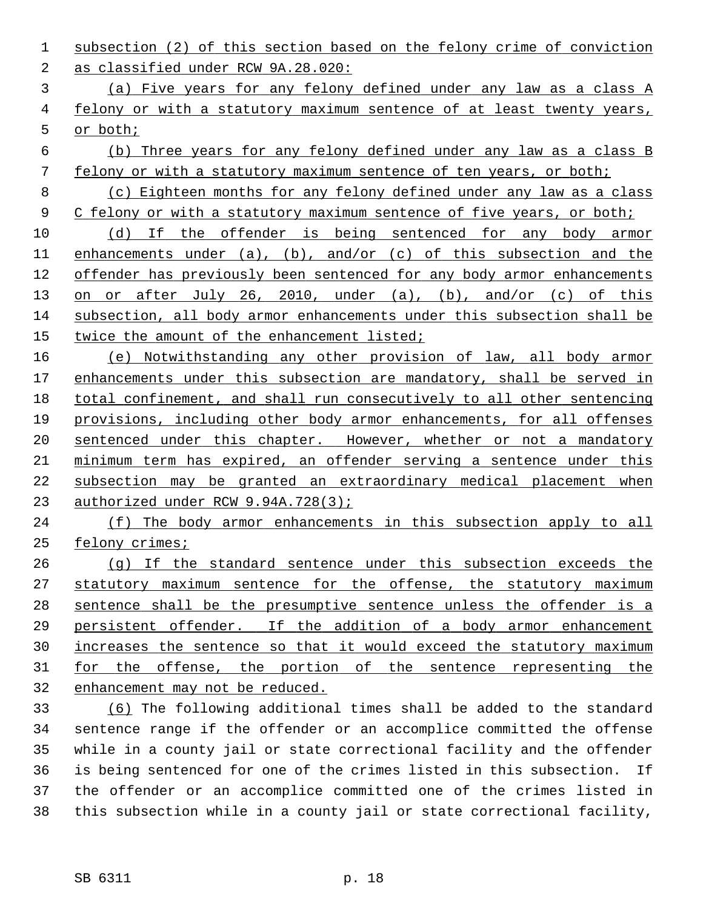- subsection (2) of this section based on the felony crime of conviction as classified under RCW 9A.28.020:
- (a) Five years for any felony defined under any law as a class A felony or with a statutory maximum sentence of at least twenty years, or both;
- (b) Three years for any felony defined under any law as a class B felony or with a statutory maximum sentence of ten years, or both;
- (c) Eighteen months for any felony defined under any law as a class 9 C felony or with a statutory maximum sentence of five years, or both;
- (d) If the offender is being sentenced for any body armor 11 enhancements under (a), (b), and/or (c) of this subsection and the offender has previously been sentenced for any body armor enhancements 13 on or after July 26, 2010, under (a), (b), and/or (c) of this subsection, all body armor enhancements under this subsection shall be 15 twice the amount of the enhancement listed;
- (e) Notwithstanding any other provision of law, all body armor enhancements under this subsection are mandatory, shall be served in total confinement, and shall run consecutively to all other sentencing provisions, including other body armor enhancements, for all offenses sentenced under this chapter. However, whether or not a mandatory minimum term has expired, an offender serving a sentence under this subsection may be granted an extraordinary medical placement when 23 authorized under RCW 9.94A.728(3);
- (f) The body armor enhancements in this subsection apply to all felony crimes;
- (g) If the standard sentence under this subsection exceeds the 27 statutory maximum sentence for the offense, the statutory maximum sentence shall be the presumptive sentence unless the offender is a persistent offender. If the addition of a body armor enhancement increases the sentence so that it would exceed the statutory maximum for the offense, the portion of the sentence representing the enhancement may not be reduced.
- (6) The following additional times shall be added to the standard 34 sentence range if the offender or an accomplice committed the offense 35 while in a county jail or state correctional facility and the offender 36 is being sentenced for one of the crimes listed in this subsection. If 37 the offender or an accomplice committed one of the crimes listed in 38 this subsection while in a county jail or state correctional facility,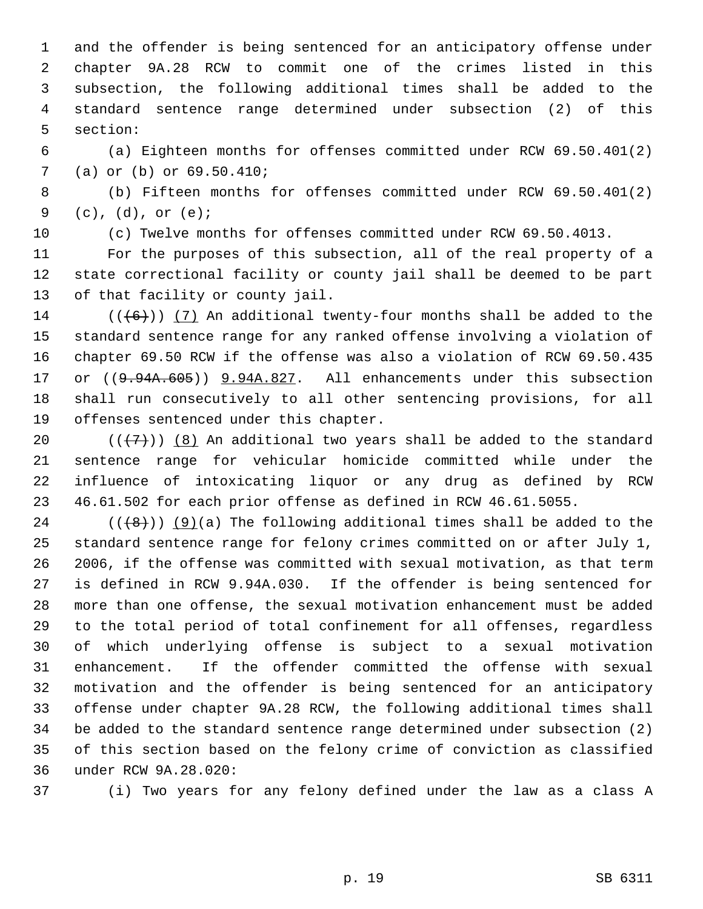1 and the offender is being sentenced for an anticipatory offense under 2 chapter 9A.28 RCW to commit one of the crimes listed in this 3 subsection, the following additional times shall be added to the 4 standard sentence range determined under subsection (2) of this 5 section:

 6 (a) Eighteen months for offenses committed under RCW 69.50.401(2) 7 (a) or (b) or 69.50.410;

 8 (b) Fifteen months for offenses committed under RCW 69.50.401(2) 9 (c), (d), or (e);

10 (c) Twelve months for offenses committed under RCW 69.50.4013.

11 For the purposes of this subsection, all of the real property of a 12 state correctional facility or county jail shall be deemed to be part 13 of that facility or county jail.

14 ( $(\overline{6})$ ) (7) An additional twenty-four months shall be added to the 15 standard sentence range for any ranked offense involving a violation of 16 chapter 69.50 RCW if the offense was also a violation of RCW 69.50.435 17 or ((9.94A.605)) 9.94A.827. All enhancements under this subsection 18 shall run consecutively to all other sentencing provisions, for all 19 offenses sentenced under this chapter.

20  $((+7)^{n})$  (8) An additional two years shall be added to the standard 21 sentence range for vehicular homicide committed while under the 22 influence of intoxicating liquor or any drug as defined by RCW 23 46.61.502 for each prior offense as defined in RCW 46.61.5055.

24 ( $(\langle 48 \rangle)$ ) (9)(a) The following additional times shall be added to the 25 standard sentence range for felony crimes committed on or after July 1, 26 2006, if the offense was committed with sexual motivation, as that term 27 is defined in RCW 9.94A.030. If the offender is being sentenced for 28 more than one offense, the sexual motivation enhancement must be added 29 to the total period of total confinement for all offenses, regardless 30 of which underlying offense is subject to a sexual motivation 31 enhancement. If the offender committed the offense with sexual 32 motivation and the offender is being sentenced for an anticipatory 33 offense under chapter 9A.28 RCW, the following additional times shall 34 be added to the standard sentence range determined under subsection (2) 35 of this section based on the felony crime of conviction as classified 36 under RCW 9A.28.020:

37 (i) Two years for any felony defined under the law as a class A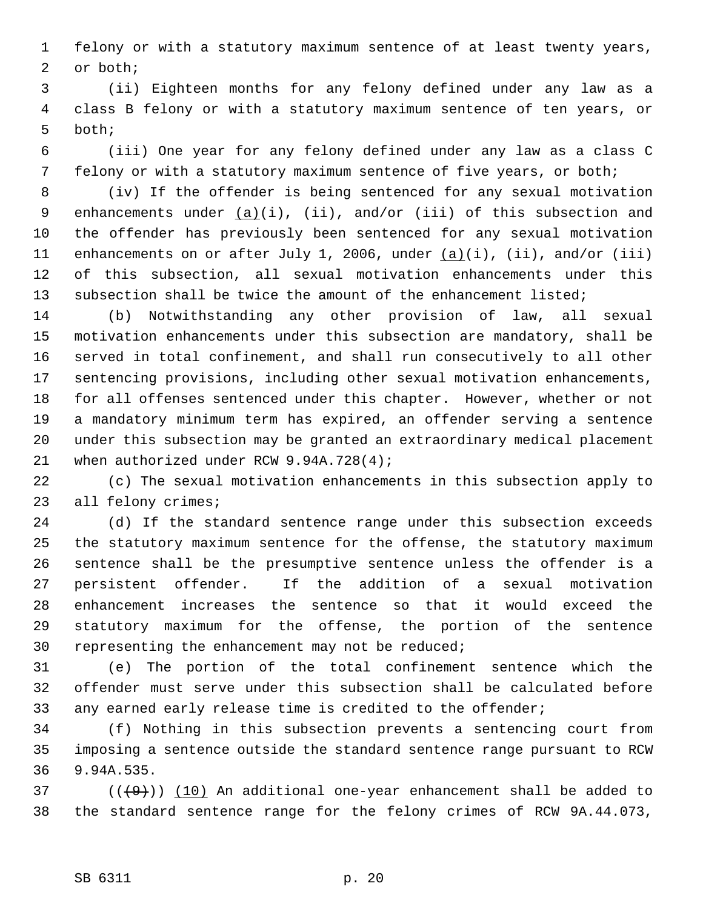1 felony or with a statutory maximum sentence of at least twenty years, 2 or both;

 3 (ii) Eighteen months for any felony defined under any law as a 4 class B felony or with a statutory maximum sentence of ten years, or 5 both;

 6 (iii) One year for any felony defined under any law as a class C 7 felony or with a statutory maximum sentence of five years, or both;

 8 (iv) If the offender is being sentenced for any sexual motivation 9 enhancements under  $(a)(i)$ ,  $(ii)$ , and/or  $(iii)$  of this subsection and 10 the offender has previously been sentenced for any sexual motivation 11 enhancements on or after July 1, 2006, under (a)(i), (ii), and/or (iii) 12 of this subsection, all sexual motivation enhancements under this 13 subsection shall be twice the amount of the enhancement listed;

14 (b) Notwithstanding any other provision of law, all sexual 15 motivation enhancements under this subsection are mandatory, shall be 16 served in total confinement, and shall run consecutively to all other 17 sentencing provisions, including other sexual motivation enhancements, 18 for all offenses sentenced under this chapter. However, whether or not 19 a mandatory minimum term has expired, an offender serving a sentence 20 under this subsection may be granted an extraordinary medical placement 21 when authorized under RCW 9.94A.728(4);

22 (c) The sexual motivation enhancements in this subsection apply to 23 all felony crimes;

24 (d) If the standard sentence range under this subsection exceeds 25 the statutory maximum sentence for the offense, the statutory maximum 26 sentence shall be the presumptive sentence unless the offender is a 27 persistent offender. If the addition of a sexual motivation 28 enhancement increases the sentence so that it would exceed the 29 statutory maximum for the offense, the portion of the sentence 30 representing the enhancement may not be reduced;

31 (e) The portion of the total confinement sentence which the 32 offender must serve under this subsection shall be calculated before 33 any earned early release time is credited to the offender;

34 (f) Nothing in this subsection prevents a sentencing court from 35 imposing a sentence outside the standard sentence range pursuant to RCW 36 9.94A.535.

 $(1)(\overline{9})$  (( $\overline{10}$ ) An additional one-year enhancement shall be added to 38 the standard sentence range for the felony crimes of RCW 9A.44.073,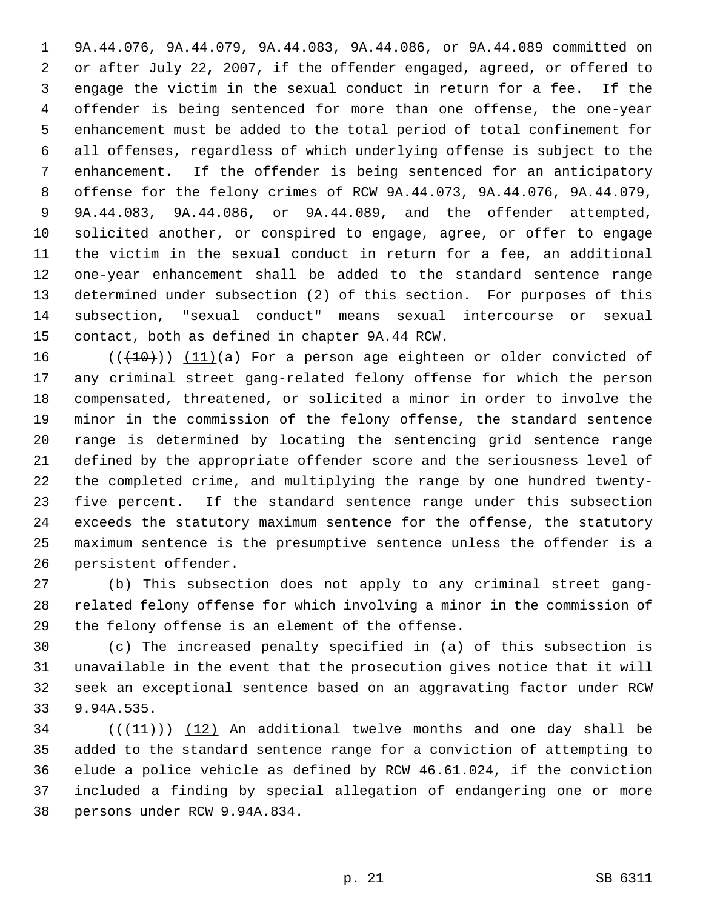1 9A.44.076, 9A.44.079, 9A.44.083, 9A.44.086, or 9A.44.089 committed on 2 or after July 22, 2007, if the offender engaged, agreed, or offered to 3 engage the victim in the sexual conduct in return for a fee. If the 4 offender is being sentenced for more than one offense, the one-year 5 enhancement must be added to the total period of total confinement for 6 all offenses, regardless of which underlying offense is subject to the 7 enhancement. If the offender is being sentenced for an anticipatory 8 offense for the felony crimes of RCW 9A.44.073, 9A.44.076, 9A.44.079, 9 9A.44.083, 9A.44.086, or 9A.44.089, and the offender attempted, 10 solicited another, or conspired to engage, agree, or offer to engage 11 the victim in the sexual conduct in return for a fee, an additional 12 one-year enhancement shall be added to the standard sentence range 13 determined under subsection (2) of this section. For purposes of this 14 subsection, "sexual conduct" means sexual intercourse or sexual 15 contact, both as defined in chapter 9A.44 RCW.

16  $((+10))$   $(11)(a)$  For a person age eighteen or older convicted of 17 any criminal street gang-related felony offense for which the person 18 compensated, threatened, or solicited a minor in order to involve the 19 minor in the commission of the felony offense, the standard sentence 20 range is determined by locating the sentencing grid sentence range 21 defined by the appropriate offender score and the seriousness level of 22 the completed crime, and multiplying the range by one hundred twenty-23 five percent. If the standard sentence range under this subsection 24 exceeds the statutory maximum sentence for the offense, the statutory 25 maximum sentence is the presumptive sentence unless the offender is a 26 persistent offender.

27 (b) This subsection does not apply to any criminal street gang-28 related felony offense for which involving a minor in the commission of 29 the felony offense is an element of the offense.

30 (c) The increased penalty specified in (a) of this subsection is 31 unavailable in the event that the prosecution gives notice that it will 32 seek an exceptional sentence based on an aggravating factor under RCW 33 9.94A.535.

 $(1)$  ( $(1)$ )) (12) An additional twelve months and one day shall be 35 added to the standard sentence range for a conviction of attempting to 36 elude a police vehicle as defined by RCW 46.61.024, if the conviction 37 included a finding by special allegation of endangering one or more 38 persons under RCW 9.94A.834.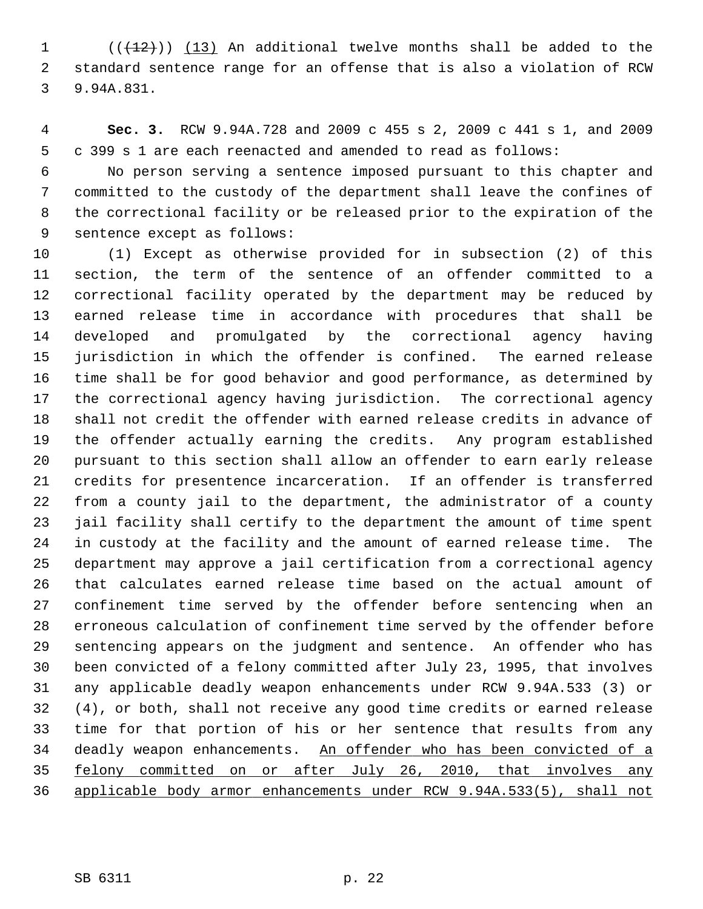$(1$  ( $(12)$ )) (13) An additional twelve months shall be added to the 2 standard sentence range for an offense that is also a violation of RCW 3 9.94A.831.

 4 **Sec. 3.** RCW 9.94A.728 and 2009 c 455 s 2, 2009 c 441 s 1, and 2009 5 c 399 s 1 are each reenacted and amended to read as follows:

 6 No person serving a sentence imposed pursuant to this chapter and 7 committed to the custody of the department shall leave the confines of 8 the correctional facility or be released prior to the expiration of the 9 sentence except as follows:

10 (1) Except as otherwise provided for in subsection (2) of this 11 section, the term of the sentence of an offender committed to a 12 correctional facility operated by the department may be reduced by 13 earned release time in accordance with procedures that shall be 14 developed and promulgated by the correctional agency having 15 jurisdiction in which the offender is confined. The earned release 16 time shall be for good behavior and good performance, as determined by 17 the correctional agency having jurisdiction. The correctional agency 18 shall not credit the offender with earned release credits in advance of 19 the offender actually earning the credits. Any program established 20 pursuant to this section shall allow an offender to earn early release 21 credits for presentence incarceration. If an offender is transferred 22 from a county jail to the department, the administrator of a county 23 jail facility shall certify to the department the amount of time spent 24 in custody at the facility and the amount of earned release time. The 25 department may approve a jail certification from a correctional agency 26 that calculates earned release time based on the actual amount of 27 confinement time served by the offender before sentencing when an 28 erroneous calculation of confinement time served by the offender before 29 sentencing appears on the judgment and sentence. An offender who has 30 been convicted of a felony committed after July 23, 1995, that involves 31 any applicable deadly weapon enhancements under RCW 9.94A.533 (3) or 32 (4), or both, shall not receive any good time credits or earned release 33 time for that portion of his or her sentence that results from any 34 deadly weapon enhancements. An offender who has been convicted of a 35 felony committed on or after July 26, 2010, that involves any 36 applicable body armor enhancements under RCW 9.94A.533(5), shall not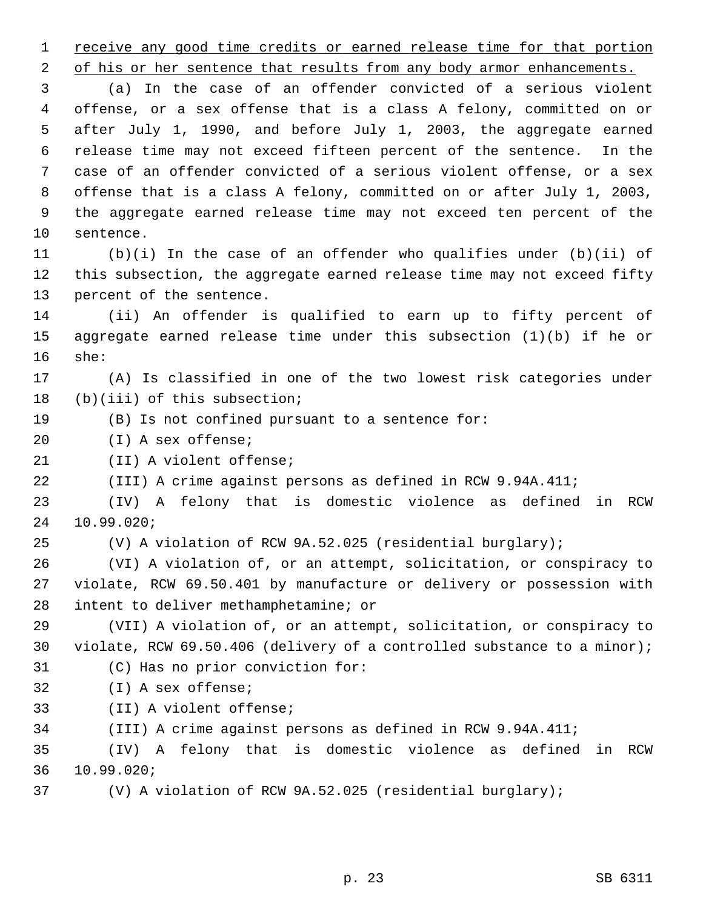1 receive any good time credits or earned release time for that portion

2 of his or her sentence that results from any body armor enhancements.

 3 (a) In the case of an offender convicted of a serious violent 4 offense, or a sex offense that is a class A felony, committed on or 5 after July 1, 1990, and before July 1, 2003, the aggregate earned 6 release time may not exceed fifteen percent of the sentence. In the 7 case of an offender convicted of a serious violent offense, or a sex 8 offense that is a class A felony, committed on or after July 1, 2003, 9 the aggregate earned release time may not exceed ten percent of the 10 sentence.

11 (b)(i) In the case of an offender who qualifies under (b)(ii) of 12 this subsection, the aggregate earned release time may not exceed fifty 13 percent of the sentence.

14 (ii) An offender is qualified to earn up to fifty percent of 15 aggregate earned release time under this subsection (1)(b) if he or 16 she:

17 (A) Is classified in one of the two lowest risk categories under 18 (b)(iii) of this subsection;

- 19 (B) Is not confined pursuant to a sentence for:
- 20 (I) A sex offense;
- 21 (II) A violent offense;
- 22 (III) A crime against persons as defined in RCW 9.94A.411;

23 (IV) A felony that is domestic violence as defined in RCW 24 10.99.020;

25 (V) A violation of RCW 9A.52.025 (residential burglary);

26 (VI) A violation of, or an attempt, solicitation, or conspiracy to 27 violate, RCW 69.50.401 by manufacture or delivery or possession with 28 intent to deliver methamphetamine; or

29 (VII) A violation of, or an attempt, solicitation, or conspiracy to 30 violate, RCW 69.50.406 (delivery of a controlled substance to a minor); 31 (C) Has no prior conviction for:

- 32 (I) A sex offense;
- 33 (II) A violent offense;
- 34 (III) A crime against persons as defined in RCW 9.94A.411;

35 (IV) A felony that is domestic violence as defined in RCW 36 10.99.020;

37 (V) A violation of RCW 9A.52.025 (residential burglary);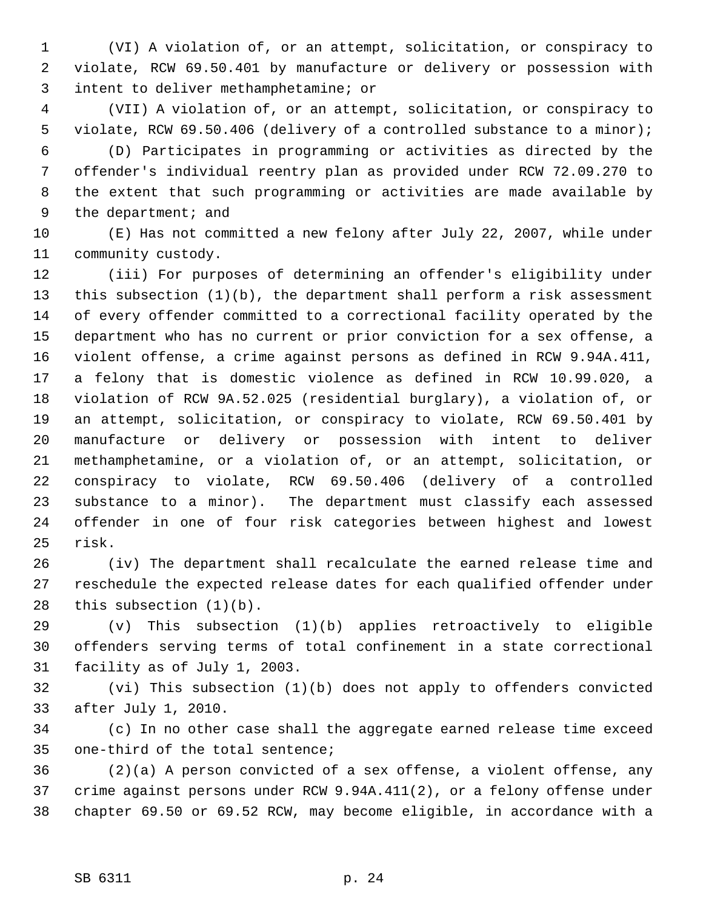1 (VI) A violation of, or an attempt, solicitation, or conspiracy to 2 violate, RCW 69.50.401 by manufacture or delivery or possession with 3 intent to deliver methamphetamine; or

 4 (VII) A violation of, or an attempt, solicitation, or conspiracy to 5 violate, RCW 69.50.406 (delivery of a controlled substance to a minor);

 6 (D) Participates in programming or activities as directed by the 7 offender's individual reentry plan as provided under RCW 72.09.270 to 8 the extent that such programming or activities are made available by 9 the department; and

10 (E) Has not committed a new felony after July 22, 2007, while under 11 community custody.

12 (iii) For purposes of determining an offender's eligibility under 13 this subsection (1)(b), the department shall perform a risk assessment 14 of every offender committed to a correctional facility operated by the 15 department who has no current or prior conviction for a sex offense, a 16 violent offense, a crime against persons as defined in RCW 9.94A.411, 17 a felony that is domestic violence as defined in RCW 10.99.020, a 18 violation of RCW 9A.52.025 (residential burglary), a violation of, or 19 an attempt, solicitation, or conspiracy to violate, RCW 69.50.401 by 20 manufacture or delivery or possession with intent to deliver 21 methamphetamine, or a violation of, or an attempt, solicitation, or 22 conspiracy to violate, RCW 69.50.406 (delivery of a controlled 23 substance to a minor). The department must classify each assessed 24 offender in one of four risk categories between highest and lowest 25 risk.

26 (iv) The department shall recalculate the earned release time and 27 reschedule the expected release dates for each qualified offender under 28 this subsection (1)(b).

29 (v) This subsection (1)(b) applies retroactively to eligible 30 offenders serving terms of total confinement in a state correctional 31 facility as of July 1, 2003.

32 (vi) This subsection (1)(b) does not apply to offenders convicted 33 after July 1, 2010.

34 (c) In no other case shall the aggregate earned release time exceed 35 one-third of the total sentence;

36 (2)(a) A person convicted of a sex offense, a violent offense, any 37 crime against persons under RCW 9.94A.411(2), or a felony offense under 38 chapter 69.50 or 69.52 RCW, may become eligible, in accordance with a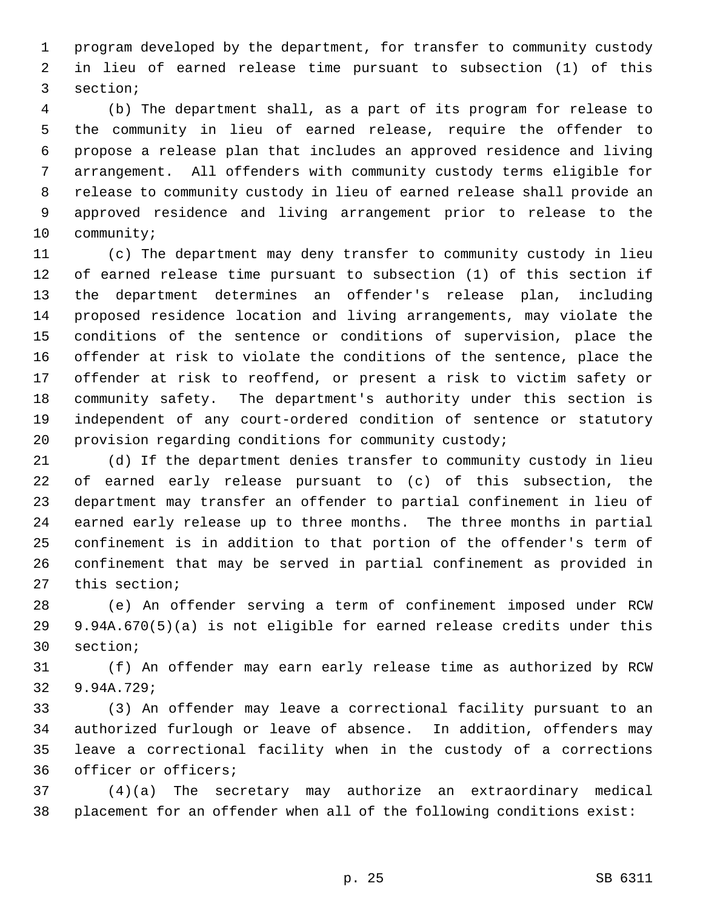1 program developed by the department, for transfer to community custody 2 in lieu of earned release time pursuant to subsection (1) of this 3 section;

 4 (b) The department shall, as a part of its program for release to 5 the community in lieu of earned release, require the offender to 6 propose a release plan that includes an approved residence and living 7 arrangement. All offenders with community custody terms eligible for 8 release to community custody in lieu of earned release shall provide an 9 approved residence and living arrangement prior to release to the 10 community;

11 (c) The department may deny transfer to community custody in lieu 12 of earned release time pursuant to subsection (1) of this section if 13 the department determines an offender's release plan, including 14 proposed residence location and living arrangements, may violate the 15 conditions of the sentence or conditions of supervision, place the 16 offender at risk to violate the conditions of the sentence, place the 17 offender at risk to reoffend, or present a risk to victim safety or 18 community safety. The department's authority under this section is 19 independent of any court-ordered condition of sentence or statutory 20 provision regarding conditions for community custody;

21 (d) If the department denies transfer to community custody in lieu 22 of earned early release pursuant to (c) of this subsection, the 23 department may transfer an offender to partial confinement in lieu of 24 earned early release up to three months. The three months in partial 25 confinement is in addition to that portion of the offender's term of 26 confinement that may be served in partial confinement as provided in 27 this section;

28 (e) An offender serving a term of confinement imposed under RCW 29 9.94A.670(5)(a) is not eligible for earned release credits under this 30 section;

31 (f) An offender may earn early release time as authorized by RCW 32 9.94A.729;

33 (3) An offender may leave a correctional facility pursuant to an 34 authorized furlough or leave of absence. In addition, offenders may 35 leave a correctional facility when in the custody of a corrections 36 officer or officers;

37 (4)(a) The secretary may authorize an extraordinary medical 38 placement for an offender when all of the following conditions exist: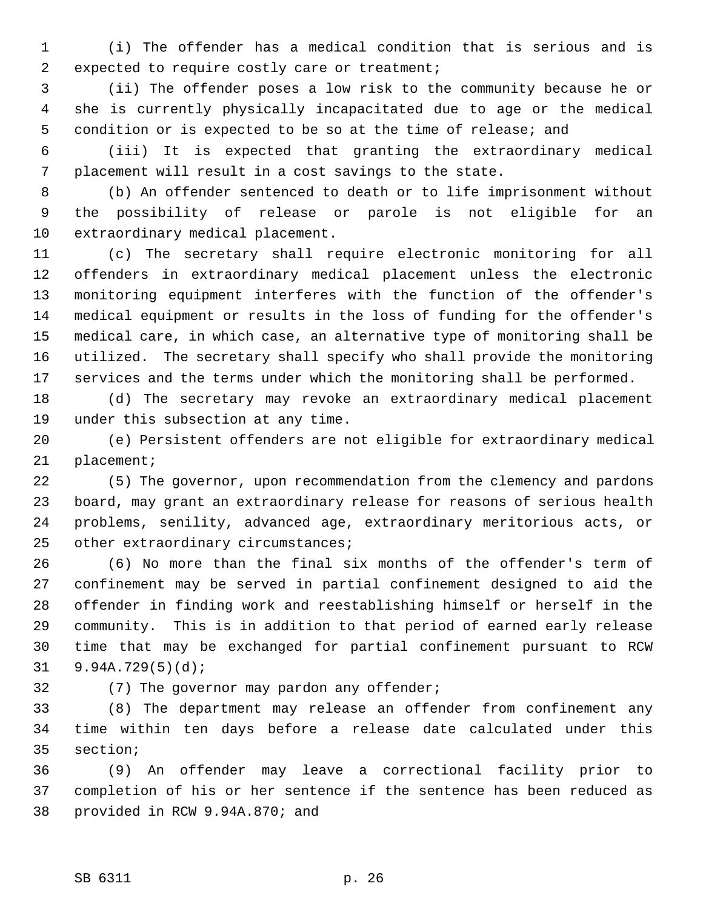1 (i) The offender has a medical condition that is serious and is 2 expected to require costly care or treatment;

 3 (ii) The offender poses a low risk to the community because he or 4 she is currently physically incapacitated due to age or the medical 5 condition or is expected to be so at the time of release; and

 6 (iii) It is expected that granting the extraordinary medical 7 placement will result in a cost savings to the state.

 8 (b) An offender sentenced to death or to life imprisonment without 9 the possibility of release or parole is not eligible for an 10 extraordinary medical placement.

11 (c) The secretary shall require electronic monitoring for all 12 offenders in extraordinary medical placement unless the electronic 13 monitoring equipment interferes with the function of the offender's 14 medical equipment or results in the loss of funding for the offender's 15 medical care, in which case, an alternative type of monitoring shall be 16 utilized. The secretary shall specify who shall provide the monitoring 17 services and the terms under which the monitoring shall be performed.

18 (d) The secretary may revoke an extraordinary medical placement 19 under this subsection at any time.

20 (e) Persistent offenders are not eligible for extraordinary medical 21 placement;

22 (5) The governor, upon recommendation from the clemency and pardons 23 board, may grant an extraordinary release for reasons of serious health 24 problems, senility, advanced age, extraordinary meritorious acts, or 25 other extraordinary circumstances;

26 (6) No more than the final six months of the offender's term of 27 confinement may be served in partial confinement designed to aid the 28 offender in finding work and reestablishing himself or herself in the 29 community. This is in addition to that period of earned early release 30 time that may be exchanged for partial confinement pursuant to RCW 31 9.94A.729(5)(d);

32 (7) The governor may pardon any offender;

33 (8) The department may release an offender from confinement any 34 time within ten days before a release date calculated under this 35 section;

36 (9) An offender may leave a correctional facility prior to 37 completion of his or her sentence if the sentence has been reduced as 38 provided in RCW 9.94A.870; and

## SB 6311 p. 26